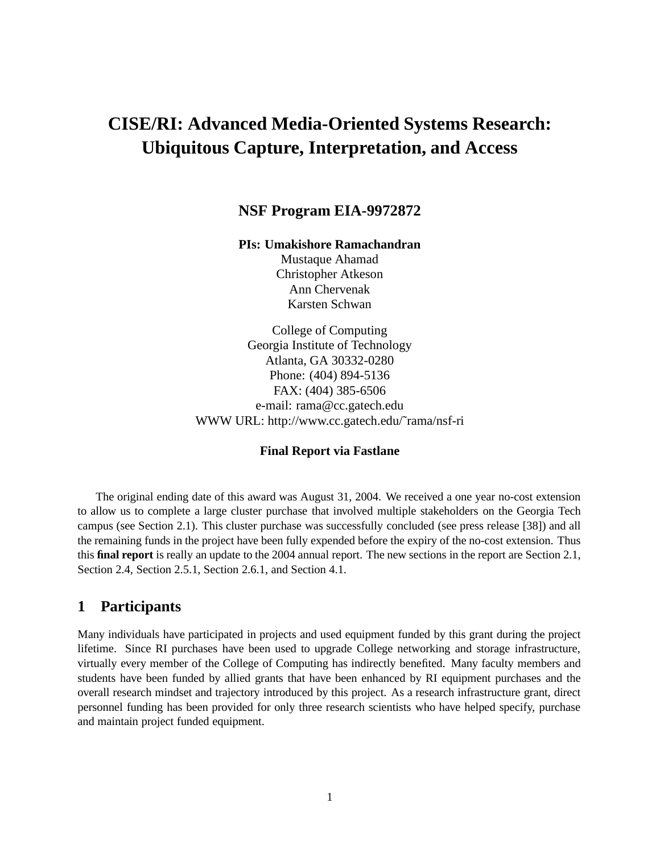# **CISE/RI: Advanced Media-Oriented Systems Research: Ubiquitous Capture, Interpretation, and Access**

# **NSF Program EIA-9972872**

#### **PIs: Umakishore Ramachandran**

Mustaque Ahamad Christopher Atkeson Ann Chervenak Karsten Schwan

College of Computing Georgia Institute of Technology Atlanta, GA 30332-0280 Phone: (404) 894-5136 FAX: (404) 385-6506 e-mail: rama@cc.gatech.edu WWW URL: http://www.cc.gatech.edu/˜rama/nsf-ri

# **Final Report via Fastlane**

The original ending date of this award was August 31, 2004. We received a one year no-cost extension to allow us to complete a large cluster purchase that involved multiple stakeholders on the Georgia Tech campus (see Section 2.1). This cluster purchase was successfully concluded (see press release [38]) and all the remaining funds in the project have been fully expended before the expiry of the no-cost extension. Thus this **final report** is really an update to the 2004 annual report. The new sections in the report are Section 2.1, Section 2.4, Section 2.5.1, Section 2.6.1, and Section 4.1.

# **1 Participants**

Many individuals have participated in projects and used equipment funded by this grant during the project lifetime. Since RI purchases have been used to upgrade College networking and storage infrastructure, virtually every member of the College of Computing has indirectly benefited. Many faculty members and students have been funded by allied grants that have been enhanced by RI equipment purchases and the overall research mindset and trajectory introduced by this project. As a research infrastructure grant, direct personnel funding has been provided for only three research scientists who have helped specify, purchase and maintain project funded equipment.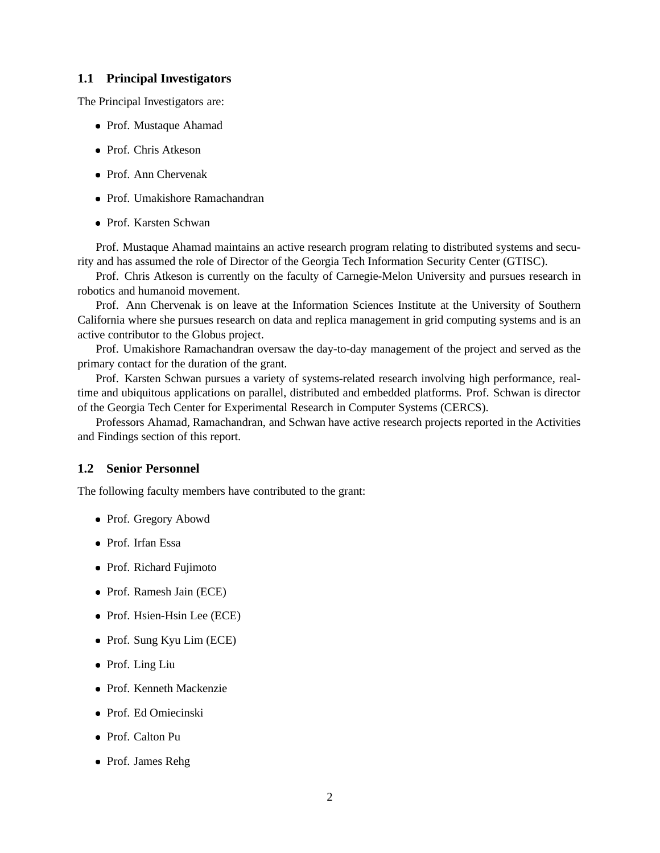#### **1.1 Principal Investigators**

The Principal Investigators are:

- Prof. Mustaque Ahamad
- Prof. Chris Atkeson
- Prof. Ann Chervenak
- Prof. Umakishore Ramachandran
- Prof. Karsten Schwan

Prof. Mustaque Ahamad maintains an active research program relating to distributed systems and security and has assumed the role of Director of the Georgia Tech Information Security Center (GTISC).

Prof. Chris Atkeson is currently on the faculty of Carnegie-Melon University and pursues research in robotics and humanoid movement.

Prof. Ann Chervenak is on leave at the Information Sciences Institute at the University of Southern California where she pursues research on data and replica management in grid computing systems and is an active contributor to the Globus project.

Prof. Umakishore Ramachandran oversaw the day-to-day management of the project and served as the primary contact for the duration of the grant.

Prof. Karsten Schwan pursues a variety of systems-related research involving high performance, realtime and ubiquitous applications on parallel, distributed and embedded platforms. Prof. Schwan is director of the Georgia Tech Center for Experimental Research in Computer Systems (CERCS).

Professors Ahamad, Ramachandran, and Schwan have active research projects reported in the Activities and Findings section of this report.

### **1.2 Senior Personnel**

The following faculty members have contributed to the grant:

- Prof. Gregory Abowd
- Prof. Irfan Essa
- Prof. Richard Fujimoto
- Prof. Ramesh Jain (ECE)
- Prof. Hsien-Hsin Lee (ECE)
- Prof. Sung Kyu Lim (ECE)
- Prof. Ling Liu
- Prof. Kenneth Mackenzie
- Prof. Ed Omiecinski
- Prof. Calton Pu
- Prof. James Rehg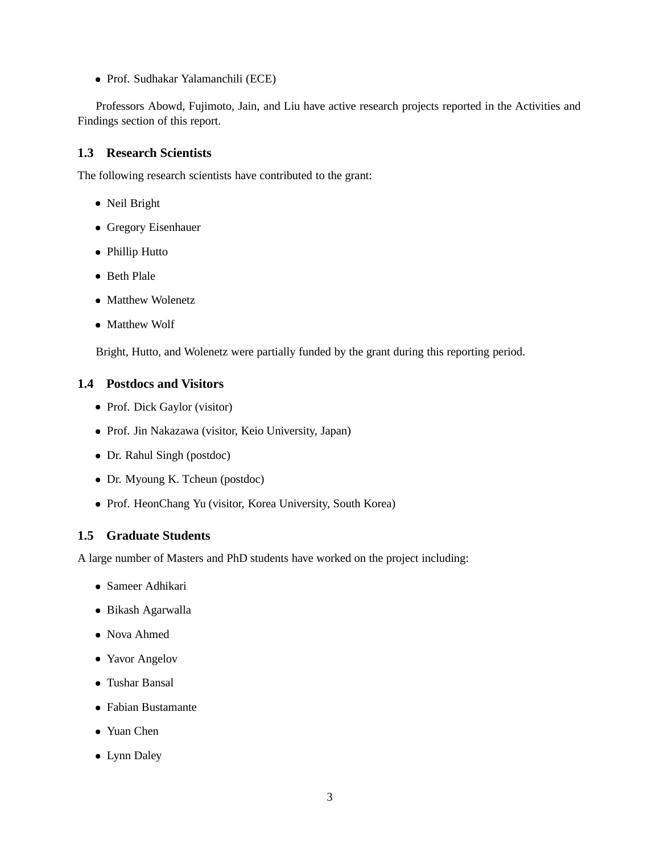Prof. Sudhakar Yalamanchili (ECE)

Professors Abowd, Fujimoto, Jain, and Liu have active research projects reported in the Activities and Findings section of this report.

# **1.3 Research Scientists**

The following research scientists have contributed to the grant:

- Neil Bright
- Gregory Eisenhauer
- Phillip Hutto
- Beth Plale
- Matthew Wolenetz
- Matthew Wolf

Bright, Hutto, and Wolenetz were partially funded by the grant during this reporting period.

# **1.4 Postdocs and Visitors**

- Prof. Dick Gaylor (visitor)
- Prof. Jin Nakazawa (visitor, Keio University, Japan)
- Dr. Rahul Singh (postdoc)
- Dr. Myoung K. Tcheun (postdoc)
- Prof. HeonChang Yu (visitor, Korea University, South Korea)

# **1.5 Graduate Students**

A large number of Masters and PhD students have worked on the project including:

- Sameer Adhikari
- Bikash Agarwalla
- Nova Ahmed
- Yavor Angelov
- Tushar Bansal
- Fabian Bustamante
- Yuan Chen
- Lynn Daley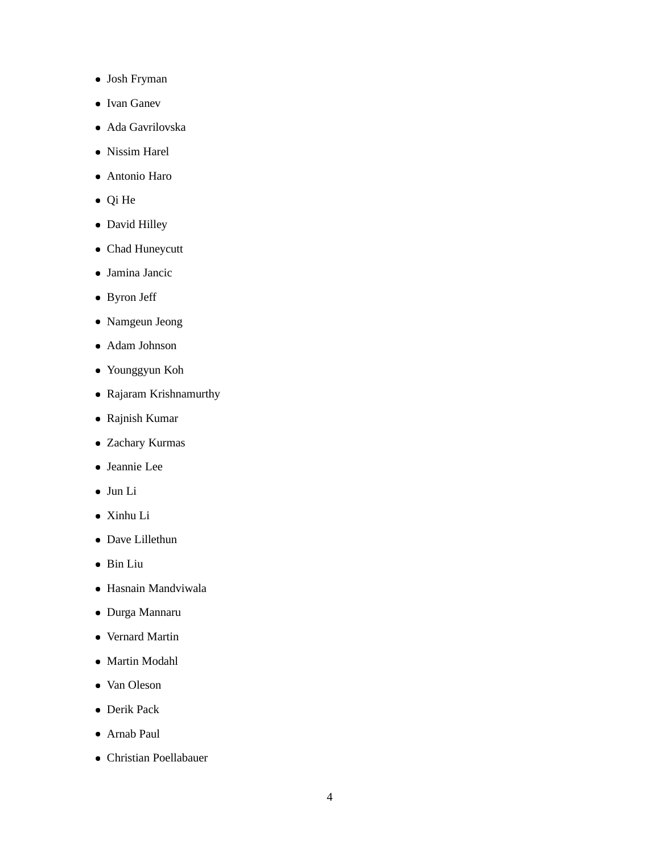- Josh Fryman
- Ivan Ganev
- Ada Gavrilovska
- Nissim Harel
- Antonio Haro
- Qi He
- David Hilley
- Chad Huneycutt
- Jamina Jancic
- Byron Jeff
- Namgeun Jeong
- Adam Johnson
- Younggyun Koh
- Rajaram Krishnamurthy
- Rajnish Kumar
- Zachary Kurmas
- Jeannie Lee
- Jun Li
- Xinhu Li
- Dave Lillethun
- Bin Liu
- Hasnain Mandviwala
- Durga Mannaru
- Vernard Martin
- Martin Modahl
- Van Oleson
- Derik Pack
- Arnab Paul
- Christian Poellabauer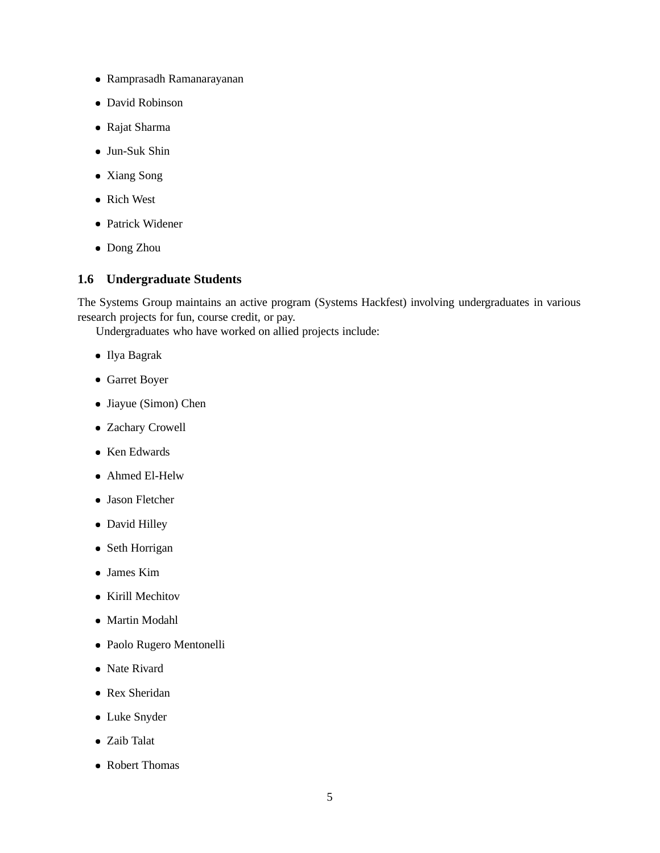- Ramprasadh Ramanarayanan
- David Robinson
- Rajat Sharma
- Jun-Suk Shin
- Xiang Song
- Rich West
- Patrick Widener
- Dong Zhou

# **1.6 Undergraduate Students**

The Systems Group maintains an active program (Systems Hackfest) involving undergraduates in various research projects for fun, course credit, or pay.

Undergraduates who have worked on allied projects include:

- Ilya Bagrak
- Garret Boyer
- Jiayue (Simon) Chen
- Zachary Crowell
- Ken Edwards
- Ahmed El-Helw
- Jason Fletcher
- David Hilley
- Seth Horrigan
- James Kim
- Kirill Mechitov
- Martin Modahl
- Paolo Rugero Mentonelli
- Nate Rivard
- Rex Sheridan
- Luke Snyder
- Zaib Talat
- Robert Thomas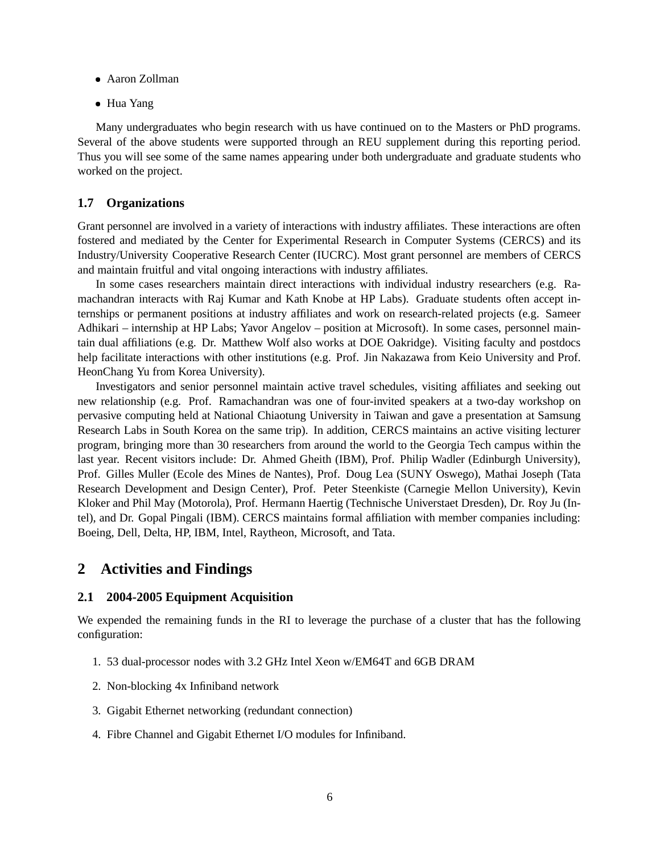- Aaron Zollman
- Hua Yang

Many undergraduates who begin research with us have continued on to the Masters or PhD programs. Several of the above students were supported through an REU supplement during this reporting period. Thus you will see some of the same names appearing under both undergraduate and graduate students who worked on the project.

#### **1.7 Organizations**

Grant personnel are involved in a variety of interactions with industry affiliates. These interactions are often fostered and mediated by the Center for Experimental Research in Computer Systems (CERCS) and its Industry/University Cooperative Research Center (IUCRC). Most grant personnel are members of CERCS and maintain fruitful and vital ongoing interactions with industry affiliates.

In some cases researchers maintain direct interactions with individual industry researchers (e.g. Ramachandran interacts with Raj Kumar and Kath Knobe at HP Labs). Graduate students often accept internships or permanent positions at industry affiliates and work on research-related projects (e.g. Sameer Adhikari – internship at HP Labs; Yavor Angelov – position at Microsoft). In some cases, personnel maintain dual affiliations (e.g. Dr. Matthew Wolf also works at DOE Oakridge). Visiting faculty and postdocs help facilitate interactions with other institutions (e.g. Prof. Jin Nakazawa from Keio University and Prof. HeonChang Yu from Korea University).

Investigators and senior personnel maintain active travel schedules, visiting affiliates and seeking out new relationship (e.g. Prof. Ramachandran was one of four-invited speakers at a two-day workshop on pervasive computing held at National Chiaotung University in Taiwan and gave a presentation at Samsung Research Labs in South Korea on the same trip). In addition, CERCS maintains an active visiting lecturer program, bringing more than 30 researchers from around the world to the Georgia Tech campus within the last year. Recent visitors include: Dr. Ahmed Gheith (IBM), Prof. Philip Wadler (Edinburgh University), Prof. Gilles Muller (Ecole des Mines de Nantes), Prof. Doug Lea (SUNY Oswego), Mathai Joseph (Tata Research Development and Design Center), Prof. Peter Steenkiste (Carnegie Mellon University), Kevin Kloker and Phil May (Motorola), Prof. Hermann Haertig (Technische Universtaet Dresden), Dr. Roy Ju (Intel), and Dr. Gopal Pingali (IBM). CERCS maintains formal affiliation with member companies including: Boeing, Dell, Delta, HP, IBM, Intel, Raytheon, Microsoft, and Tata.

# **2 Activities and Findings**

#### **2.1 2004-2005 Equipment Acquisition**

We expended the remaining funds in the RI to leverage the purchase of a cluster that has the following configuration:

- 1. 53 dual-processor nodes with 3.2 GHz Intel Xeon w/EM64T and 6GB DRAM
- 2. Non-blocking 4x Infiniband network
- 3. Gigabit Ethernet networking (redundant connection)
- 4. Fibre Channel and Gigabit Ethernet I/O modules for Infiniband.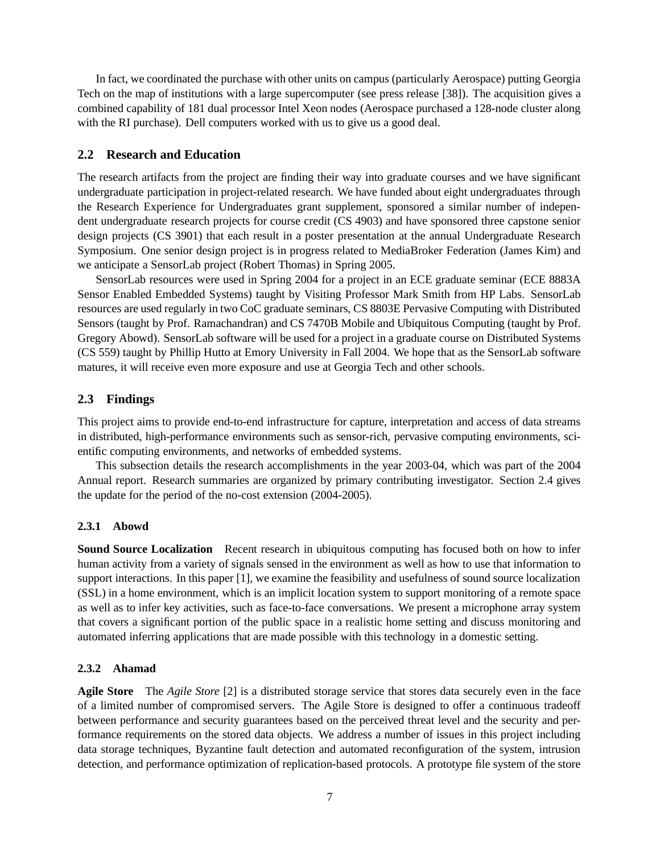In fact, we coordinated the purchase with other units on campus (particularly Aerospace) putting Georgia Tech on the map of institutions with a large supercomputer (see press release [38]). The acquisition gives a combined capability of 181 dual processor Intel Xeon nodes (Aerospace purchased a 128-node cluster along with the RI purchase). Dell computers worked with us to give us a good deal.

#### **2.2 Research and Education**

The research artifacts from the project are finding their way into graduate courses and we have significant undergraduate participation in project-related research. We have funded about eight undergraduates through the Research Experience for Undergraduates grant supplement, sponsored a similar number of independent undergraduate research projects for course credit (CS 4903) and have sponsored three capstone senior design projects (CS 3901) that each result in a poster presentation at the annual Undergraduate Research Symposium. One senior design project is in progress related to MediaBroker Federation (James Kim) and we anticipate a SensorLab project (Robert Thomas) in Spring 2005.

SensorLab resources were used in Spring 2004 for a project in an ECE graduate seminar (ECE 8883A Sensor Enabled Embedded Systems) taught by Visiting Professor Mark Smith from HP Labs. SensorLab resources are used regularly in two CoC graduate seminars, CS 8803E Pervasive Computing with Distributed Sensors (taught by Prof. Ramachandran) and CS 7470B Mobile and Ubiquitous Computing (taught by Prof. Gregory Abowd). SensorLab software will be used for a project in a graduate course on Distributed Systems (CS 559) taught by Phillip Hutto at Emory University in Fall 2004. We hope that as the SensorLab software matures, it will receive even more exposure and use at Georgia Tech and other schools.

### **2.3 Findings**

This project aims to provide end-to-end infrastructure for capture, interpretation and access of data streams in distributed, high-performance environments such as sensor-rich, pervasive computing environments, scientific computing environments, and networks of embedded systems.

This subsection details the research accomplishments in the year 2003-04, which was part of the 2004 Annual report. Research summaries are organized by primary contributing investigator. Section 2.4 gives the update for the period of the no-cost extension (2004-2005).

#### **2.3.1 Abowd**

**Sound Source Localization** Recent research in ubiquitous computing has focused both on how to infer human activity from a variety of signals sensed in the environment as well as how to use that information to support interactions. In this paper [1], we examine the feasibility and usefulness of sound source localization (SSL) in a home environment, which is an implicit location system to support monitoring of a remote space as well as to infer key activities, such as face-to-face conversations. We present a microphone array system that covers a significant portion of the public space in a realistic home setting and discuss monitoring and automated inferring applications that are made possible with this technology in a domestic setting.

#### **2.3.2 Ahamad**

**Agile Store** The *Agile Store* [2] is a distributed storage service that stores data securely even in the face of a limited number of compromised servers. The Agile Store is designed to offer a continuous tradeoff between performance and security guarantees based on the perceived threat level and the security and performance requirements on the stored data objects. We address a number of issues in this project including data storage techniques, Byzantine fault detection and automated reconfiguration of the system, intrusion detection, and performance optimization of replication-based protocols. A prototype file system of the store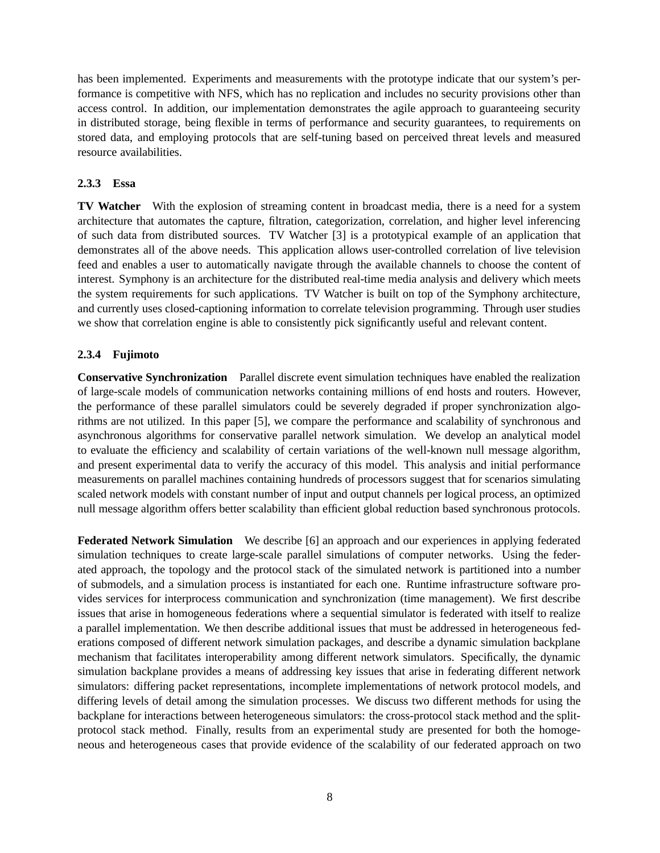has been implemented. Experiments and measurements with the prototype indicate that our system's performance is competitive with NFS, which has no replication and includes no security provisions other than access control. In addition, our implementation demonstrates the agile approach to guaranteeing security in distributed storage, being flexible in terms of performance and security guarantees, to requirements on stored data, and employing protocols that are self-tuning based on perceived threat levels and measured resource availabilities.

### **2.3.3 Essa**

**TV Watcher** With the explosion of streaming content in broadcast media, there is a need for a system architecture that automates the capture, filtration, categorization, correlation, and higher level inferencing of such data from distributed sources. TV Watcher [3] is a prototypical example of an application that demonstrates all of the above needs. This application allows user-controlled correlation of live television feed and enables a user to automatically navigate through the available channels to choose the content of interest. Symphony is an architecture for the distributed real-time media analysis and delivery which meets the system requirements for such applications. TV Watcher is built on top of the Symphony architecture, and currently uses closed-captioning information to correlate television programming. Through user studies we show that correlation engine is able to consistently pick significantly useful and relevant content.

### **2.3.4 Fujimoto**

**Conservative Synchronization** Parallel discrete event simulation techniques have enabled the realization of large-scale models of communication networks containing millions of end hosts and routers. However, the performance of these parallel simulators could be severely degraded if proper synchronization algorithms are not utilized. In this paper [5], we compare the performance and scalability of synchronous and asynchronous algorithms for conservative parallel network simulation. We develop an analytical model to evaluate the efficiency and scalability of certain variations of the well-known null message algorithm, and present experimental data to verify the accuracy of this model. This analysis and initial performance measurements on parallel machines containing hundreds of processors suggest that for scenarios simulating scaled network models with constant number of input and output channels per logical process, an optimized null message algorithm offers better scalability than efficient global reduction based synchronous protocols.

**Federated Network Simulation** We describe [6] an approach and our experiences in applying federated simulation techniques to create large-scale parallel simulations of computer networks. Using the federated approach, the topology and the protocol stack of the simulated network is partitioned into a number of submodels, and a simulation process is instantiated for each one. Runtime infrastructure software provides services for interprocess communication and synchronization (time management). We first describe issues that arise in homogeneous federations where a sequential simulator is federated with itself to realize a parallel implementation. We then describe additional issues that must be addressed in heterogeneous federations composed of different network simulation packages, and describe a dynamic simulation backplane mechanism that facilitates interoperability among different network simulators. Specifically, the dynamic simulation backplane provides a means of addressing key issues that arise in federating different network simulators: differing packet representations, incomplete implementations of network protocol models, and differing levels of detail among the simulation processes. We discuss two different methods for using the backplane for interactions between heterogeneous simulators: the cross-protocol stack method and the splitprotocol stack method. Finally, results from an experimental study are presented for both the homogeneous and heterogeneous cases that provide evidence of the scalability of our federated approach on two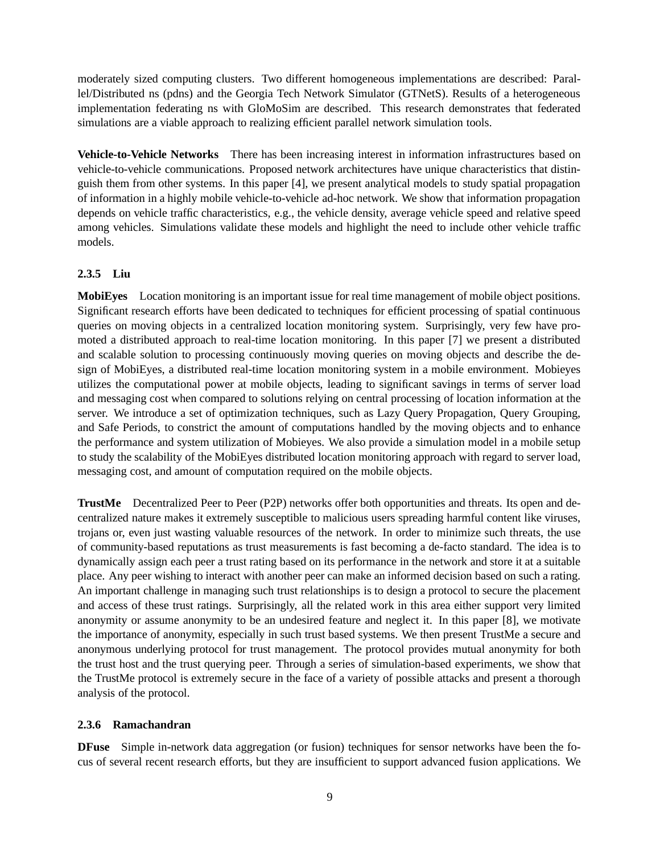moderately sized computing clusters. Two different homogeneous implementations are described: Parallel/Distributed ns (pdns) and the Georgia Tech Network Simulator (GTNetS). Results of a heterogeneous implementation federating ns with GloMoSim are described. This research demonstrates that federated simulations are a viable approach to realizing efficient parallel network simulation tools.

**Vehicle-to-Vehicle Networks** There has been increasing interest in information infrastructures based on vehicle-to-vehicle communications. Proposed network architectures have unique characteristics that distinguish them from other systems. In this paper [4], we present analytical models to study spatial propagation of information in a highly mobile vehicle-to-vehicle ad-hoc network. We show that information propagation depends on vehicle traffic characteristics, e.g., the vehicle density, average vehicle speed and relative speed among vehicles. Simulations validate these models and highlight the need to include other vehicle traffic models.

# **2.3.5 Liu**

**MobiEyes** Location monitoring is an important issue for real time management of mobile object positions. Significant research efforts have been dedicated to techniques for efficient processing of spatial continuous queries on moving objects in a centralized location monitoring system. Surprisingly, very few have promoted a distributed approach to real-time location monitoring. In this paper [7] we present a distributed and scalable solution to processing continuously moving queries on moving objects and describe the design of MobiEyes, a distributed real-time location monitoring system in a mobile environment. Mobieyes utilizes the computational power at mobile objects, leading to significant savings in terms of server load and messaging cost when compared to solutions relying on central processing of location information at the server. We introduce a set of optimization techniques, such as Lazy Query Propagation, Query Grouping, and Safe Periods, to constrict the amount of computations handled by the moving objects and to enhance the performance and system utilization of Mobieyes. We also provide a simulation model in a mobile setup to study the scalability of the MobiEyes distributed location monitoring approach with regard to server load, messaging cost, and amount of computation required on the mobile objects.

**TrustMe** Decentralized Peer to Peer (P2P) networks offer both opportunities and threats. Its open and decentralized nature makes it extremely susceptible to malicious users spreading harmful content like viruses, trojans or, even just wasting valuable resources of the network. In order to minimize such threats, the use of community-based reputations as trust measurements is fast becoming a de-facto standard. The idea is to dynamically assign each peer a trust rating based on its performance in the network and store it at a suitable place. Any peer wishing to interact with another peer can make an informed decision based on such a rating. An important challenge in managing such trust relationships is to design a protocol to secure the placement and access of these trust ratings. Surprisingly, all the related work in this area either support very limited anonymity or assume anonymity to be an undesired feature and neglect it. In this paper [8], we motivate the importance of anonymity, especially in such trust based systems. We then present TrustMe a secure and anonymous underlying protocol for trust management. The protocol provides mutual anonymity for both the trust host and the trust querying peer. Through a series of simulation-based experiments, we show that the TrustMe protocol is extremely secure in the face of a variety of possible attacks and present a thorough analysis of the protocol.

# **2.3.6 Ramachandran**

**DFuse** Simple in-network data aggregation (or fusion) techniques for sensor networks have been the focus of several recent research efforts, but they are insufficient to support advanced fusion applications. We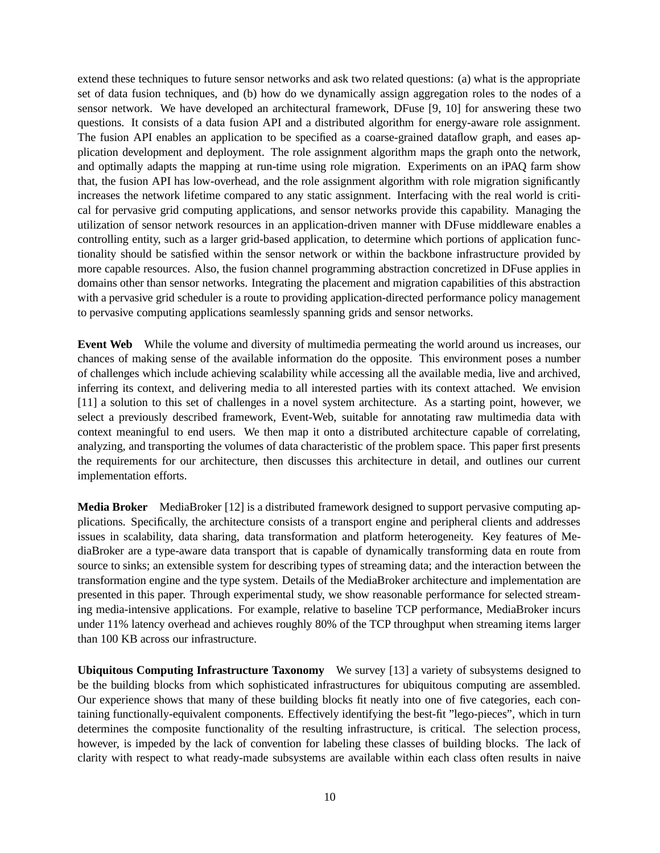extend these techniques to future sensor networks and ask two related questions: (a) what is the appropriate set of data fusion techniques, and (b) how do we dynamically assign aggregation roles to the nodes of a sensor network. We have developed an architectural framework, DFuse [9, 10] for answering these two questions. It consists of a data fusion API and a distributed algorithm for energy-aware role assignment. The fusion API enables an application to be specified as a coarse-grained dataflow graph, and eases application development and deployment. The role assignment algorithm maps the graph onto the network, and optimally adapts the mapping at run-time using role migration. Experiments on an iPAQ farm show that, the fusion API has low-overhead, and the role assignment algorithm with role migration significantly increases the network lifetime compared to any static assignment. Interfacing with the real world is critical for pervasive grid computing applications, and sensor networks provide this capability. Managing the utilization of sensor network resources in an application-driven manner with DFuse middleware enables a controlling entity, such as a larger grid-based application, to determine which portions of application functionality should be satisfied within the sensor network or within the backbone infrastructure provided by more capable resources. Also, the fusion channel programming abstraction concretized in DFuse applies in domains other than sensor networks. Integrating the placement and migration capabilities of this abstraction with a pervasive grid scheduler is a route to providing application-directed performance policy management to pervasive computing applications seamlessly spanning grids and sensor networks.

**Event Web** While the volume and diversity of multimedia permeating the world around us increases, our chances of making sense of the available information do the opposite. This environment poses a number of challenges which include achieving scalability while accessing all the available media, live and archived, inferring its context, and delivering media to all interested parties with its context attached. We envision [11] a solution to this set of challenges in a novel system architecture. As a starting point, however, we select a previously described framework, Event-Web, suitable for annotating raw multimedia data with context meaningful to end users. We then map it onto a distributed architecture capable of correlating, analyzing, and transporting the volumes of data characteristic of the problem space. This paper first presents the requirements for our architecture, then discusses this architecture in detail, and outlines our current implementation efforts.

**Media Broker** MediaBroker [12] is a distributed framework designed to support pervasive computing applications. Specifically, the architecture consists of a transport engine and peripheral clients and addresses issues in scalability, data sharing, data transformation and platform heterogeneity. Key features of MediaBroker are a type-aware data transport that is capable of dynamically transforming data en route from source to sinks; an extensible system for describing types of streaming data; and the interaction between the transformation engine and the type system. Details of the MediaBroker architecture and implementation are presented in this paper. Through experimental study, we show reasonable performance for selected streaming media-intensive applications. For example, relative to baseline TCP performance, MediaBroker incurs under 11% latency overhead and achieves roughly 80% of the TCP throughput when streaming items larger than 100 KB across our infrastructure.

**Ubiquitous Computing Infrastructure Taxonomy** We survey [13] a variety of subsystems designed to be the building blocks from which sophisticated infrastructures for ubiquitous computing are assembled. Our experience shows that many of these building blocks fit neatly into one of five categories, each containing functionally-equivalent components. Effectively identifying the best-fit "lego-pieces", which in turn determines the composite functionality of the resulting infrastructure, is critical. The selection process, however, is impeded by the lack of convention for labeling these classes of building blocks. The lack of clarity with respect to what ready-made subsystems are available within each class often results in naive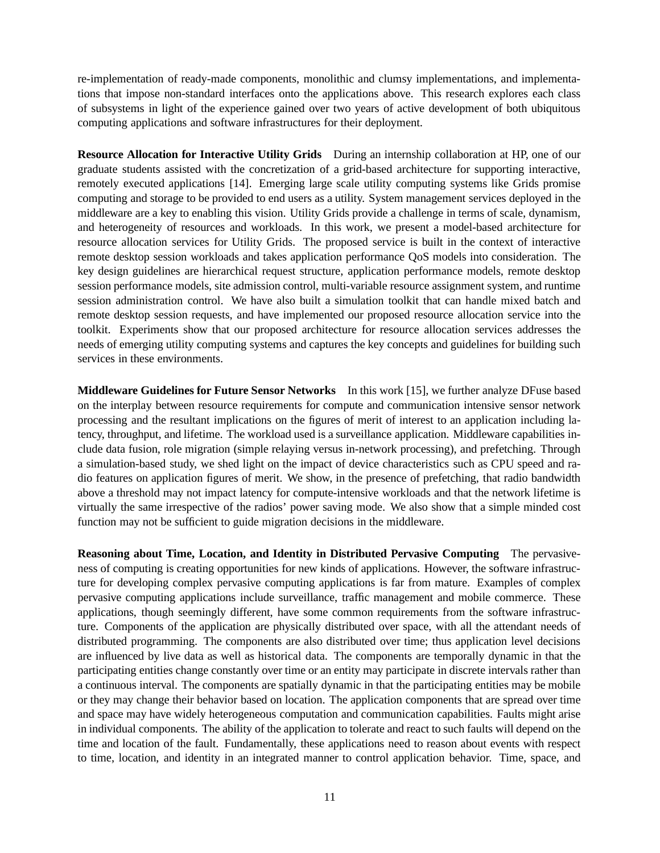re-implementation of ready-made components, monolithic and clumsy implementations, and implementations that impose non-standard interfaces onto the applications above. This research explores each class of subsystems in light of the experience gained over two years of active development of both ubiquitous computing applications and software infrastructures for their deployment.

**Resource Allocation for Interactive Utility Grids** During an internship collaboration at HP, one of our graduate students assisted with the concretization of a grid-based architecture for supporting interactive, remotely executed applications [14]. Emerging large scale utility computing systems like Grids promise computing and storage to be provided to end users as a utility. System management services deployed in the middleware are a key to enabling this vision. Utility Grids provide a challenge in terms of scale, dynamism, and heterogeneity of resources and workloads. In this work, we present a model-based architecture for resource allocation services for Utility Grids. The proposed service is built in the context of interactive remote desktop session workloads and takes application performance QoS models into consideration. The key design guidelines are hierarchical request structure, application performance models, remote desktop session performance models, site admission control, multi-variable resource assignment system, and runtime session administration control. We have also built a simulation toolkit that can handle mixed batch and remote desktop session requests, and have implemented our proposed resource allocation service into the toolkit. Experiments show that our proposed architecture for resource allocation services addresses the needs of emerging utility computing systems and captures the key concepts and guidelines for building such services in these environments.

**Middleware Guidelines for Future Sensor Networks** In this work [15], we further analyze DFuse based on the interplay between resource requirements for compute and communication intensive sensor network processing and the resultant implications on the figures of merit of interest to an application including latency, throughput, and lifetime. The workload used is a surveillance application. Middleware capabilities include data fusion, role migration (simple relaying versus in-network processing), and prefetching. Through a simulation-based study, we shed light on the impact of device characteristics such as CPU speed and radio features on application figures of merit. We show, in the presence of prefetching, that radio bandwidth above a threshold may not impact latency for compute-intensive workloads and that the network lifetime is virtually the same irrespective of the radios' power saving mode. We also show that a simple minded cost function may not be sufficient to guide migration decisions in the middleware.

**Reasoning about Time, Location, and Identity in Distributed Pervasive Computing** The pervasiveness of computing is creating opportunities for new kinds of applications. However, the software infrastructure for developing complex pervasive computing applications is far from mature. Examples of complex pervasive computing applications include surveillance, traffic management and mobile commerce. These applications, though seemingly different, have some common requirements from the software infrastructure. Components of the application are physically distributed over space, with all the attendant needs of distributed programming. The components are also distributed over time; thus application level decisions are influenced by live data as well as historical data. The components are temporally dynamic in that the participating entities change constantly over time or an entity may participate in discrete intervals rather than a continuous interval. The components are spatially dynamic in that the participating entities may be mobile or they may change their behavior based on location. The application components that are spread over time and space may have widely heterogeneous computation and communication capabilities. Faults might arise in individual components. The ability of the application to tolerate and react to such faults will depend on the time and location of the fault. Fundamentally, these applications need to reason about events with respect to time, location, and identity in an integrated manner to control application behavior. Time, space, and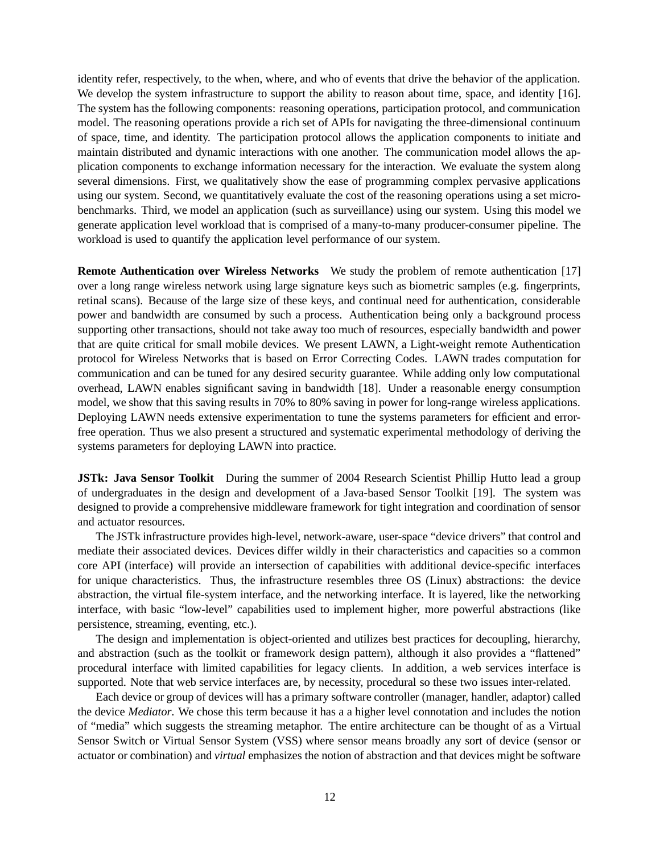identity refer, respectively, to the when, where, and who of events that drive the behavior of the application. We develop the system infrastructure to support the ability to reason about time, space, and identity [16]. The system has the following components: reasoning operations, participation protocol, and communication model. The reasoning operations provide a rich set of APIs for navigating the three-dimensional continuum of space, time, and identity. The participation protocol allows the application components to initiate and maintain distributed and dynamic interactions with one another. The communication model allows the application components to exchange information necessary for the interaction. We evaluate the system along several dimensions. First, we qualitatively show the ease of programming complex pervasive applications using our system. Second, we quantitatively evaluate the cost of the reasoning operations using a set microbenchmarks. Third, we model an application (such as surveillance) using our system. Using this model we generate application level workload that is comprised of a many-to-many producer-consumer pipeline. The workload is used to quantify the application level performance of our system.

**Remote Authentication over Wireless Networks** We study the problem of remote authentication [17] over a long range wireless network using large signature keys such as biometric samples (e.g. fingerprints, retinal scans). Because of the large size of these keys, and continual need for authentication, considerable power and bandwidth are consumed by such a process. Authentication being only a background process supporting other transactions, should not take away too much of resources, especially bandwidth and power that are quite critical for small mobile devices. We present LAWN, a Light-weight remote Authentication protocol for Wireless Networks that is based on Error Correcting Codes. LAWN trades computation for communication and can be tuned for any desired security guarantee. While adding only low computational overhead, LAWN enables significant saving in bandwidth [18]. Under a reasonable energy consumption model, we show that this saving results in 70% to 80% saving in power for long-range wireless applications. Deploying LAWN needs extensive experimentation to tune the systems parameters for efficient and errorfree operation. Thus we also present a structured and systematic experimental methodology of deriving the systems parameters for deploying LAWN into practice.

**JSTk: Java Sensor Toolkit** During the summer of 2004 Research Scientist Phillip Hutto lead a group of undergraduates in the design and development of a Java-based Sensor Toolkit [19]. The system was designed to provide a comprehensive middleware framework for tight integration and coordination of sensor and actuator resources.

The JSTk infrastructure provides high-level, network-aware, user-space "device drivers" that control and mediate their associated devices. Devices differ wildly in their characteristics and capacities so a common core API (interface) will provide an intersection of capabilities with additional device-specific interfaces for unique characteristics. Thus, the infrastructure resembles three OS (Linux) abstractions: the device abstraction, the virtual file-system interface, and the networking interface. It is layered, like the networking interface, with basic "low-level" capabilities used to implement higher, more powerful abstractions (like persistence, streaming, eventing, etc.).

The design and implementation is object-oriented and utilizes best practices for decoupling, hierarchy, and abstraction (such as the toolkit or framework design pattern), although it also provides a "flattened" procedural interface with limited capabilities for legacy clients. In addition, a web services interface is supported. Note that web service interfaces are, by necessity, procedural so these two issues inter-related.

Each device or group of devices will has a primary software controller (manager, handler, adaptor) called the device *Mediator*. We chose this term because it has a a higher level connotation and includes the notion of "media" which suggests the streaming metaphor. The entire architecture can be thought of as a Virtual Sensor Switch or Virtual Sensor System (VSS) where sensor means broadly any sort of device (sensor or actuator or combination) and *virtual* emphasizes the notion of abstraction and that devices might be software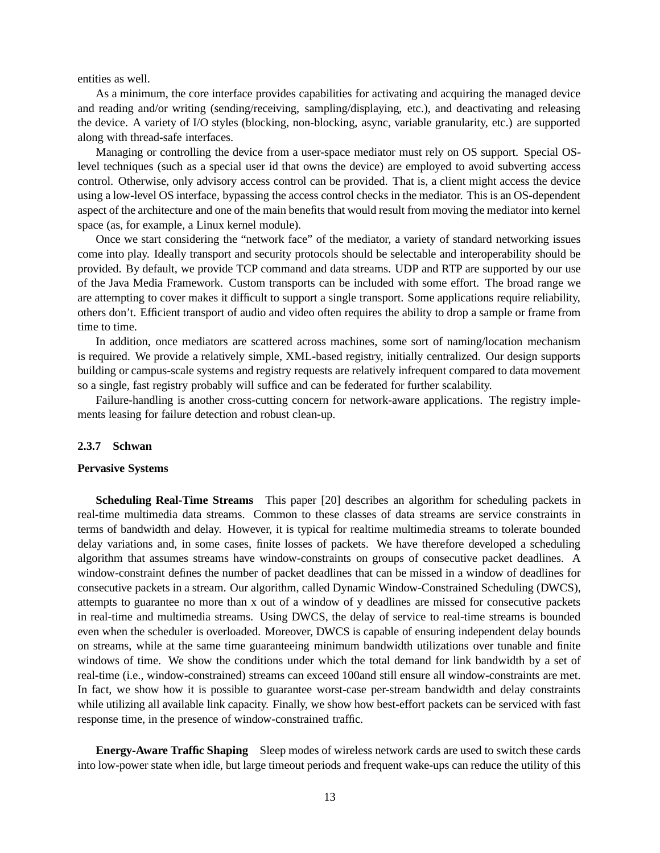entities as well.

As a minimum, the core interface provides capabilities for activating and acquiring the managed device and reading and/or writing (sending/receiving, sampling/displaying, etc.), and deactivating and releasing the device. A variety of I/O styles (blocking, non-blocking, async, variable granularity, etc.) are supported along with thread-safe interfaces.

Managing or controlling the device from a user-space mediator must rely on OS support. Special OSlevel techniques (such as a special user id that owns the device) are employed to avoid subverting access control. Otherwise, only advisory access control can be provided. That is, a client might access the device using a low-level OS interface, bypassing the access control checks in the mediator. This is an OS-dependent aspect of the architecture and one of the main benefits that would result from moving the mediator into kernel space (as, for example, a Linux kernel module).

Once we start considering the "network face" of the mediator, a variety of standard networking issues come into play. Ideally transport and security protocols should be selectable and interoperability should be provided. By default, we provide TCP command and data streams. UDP and RTP are supported by our use of the Java Media Framework. Custom transports can be included with some effort. The broad range we are attempting to cover makes it difficult to support a single transport. Some applications require reliability, others don't. Efficient transport of audio and video often requires the ability to drop a sample or frame from time to time.

In addition, once mediators are scattered across machines, some sort of naming/location mechanism is required. We provide a relatively simple, XML-based registry, initially centralized. Our design supports building or campus-scale systems and registry requests are relatively infrequent compared to data movement so a single, fast registry probably will suffice and can be federated for further scalability.

Failure-handling is another cross-cutting concern for network-aware applications. The registry implements leasing for failure detection and robust clean-up.

#### **2.3.7 Schwan**

#### **Pervasive Systems**

**Scheduling Real-Time Streams** This paper [20] describes an algorithm for scheduling packets in real-time multimedia data streams. Common to these classes of data streams are service constraints in terms of bandwidth and delay. However, it is typical for realtime multimedia streams to tolerate bounded delay variations and, in some cases, finite losses of packets. We have therefore developed a scheduling algorithm that assumes streams have window-constraints on groups of consecutive packet deadlines. A window-constraint defines the number of packet deadlines that can be missed in a window of deadlines for consecutive packets in a stream. Our algorithm, called Dynamic Window-Constrained Scheduling (DWCS), attempts to guarantee no more than x out of a window of y deadlines are missed for consecutive packets in real-time and multimedia streams. Using DWCS, the delay of service to real-time streams is bounded even when the scheduler is overloaded. Moreover, DWCS is capable of ensuring independent delay bounds on streams, while at the same time guaranteeing minimum bandwidth utilizations over tunable and finite windows of time. We show the conditions under which the total demand for link bandwidth by a set of real-time (i.e., window-constrained) streams can exceed 100and still ensure all window-constraints are met. In fact, we show how it is possible to guarantee worst-case per-stream bandwidth and delay constraints while utilizing all available link capacity. Finally, we show how best-effort packets can be serviced with fast response time, in the presence of window-constrained traffic.

**Energy-Aware Traffic Shaping** Sleep modes of wireless network cards are used to switch these cards into low-power state when idle, but large timeout periods and frequent wake-ups can reduce the utility of this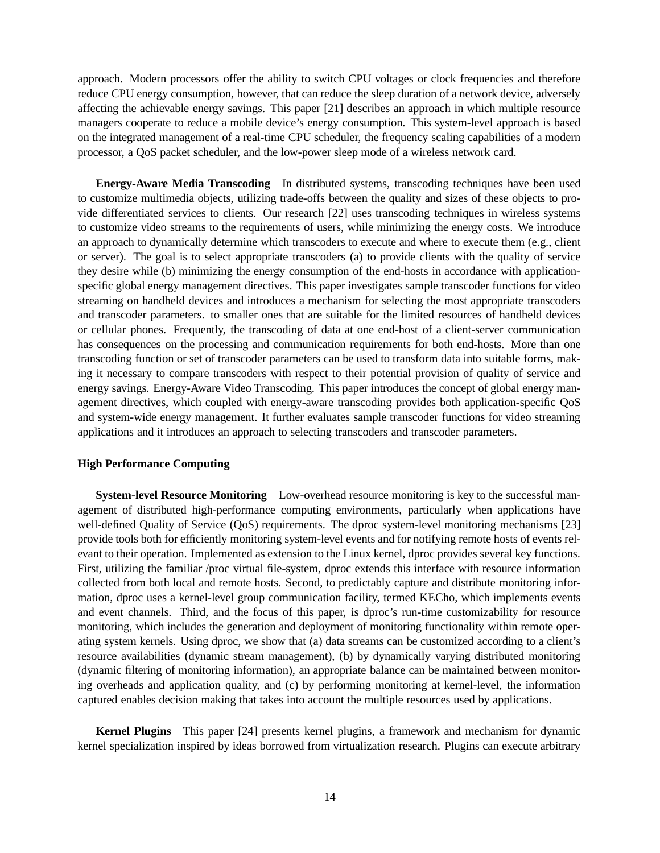approach. Modern processors offer the ability to switch CPU voltages or clock frequencies and therefore reduce CPU energy consumption, however, that can reduce the sleep duration of a network device, adversely affecting the achievable energy savings. This paper [21] describes an approach in which multiple resource managers cooperate to reduce a mobile device's energy consumption. This system-level approach is based on the integrated management of a real-time CPU scheduler, the frequency scaling capabilities of a modern processor, a QoS packet scheduler, and the low-power sleep mode of a wireless network card.

**Energy-Aware Media Transcoding** In distributed systems, transcoding techniques have been used to customize multimedia objects, utilizing trade-offs between the quality and sizes of these objects to provide differentiated services to clients. Our research [22] uses transcoding techniques in wireless systems to customize video streams to the requirements of users, while minimizing the energy costs. We introduce an approach to dynamically determine which transcoders to execute and where to execute them (e.g., client or server). The goal is to select appropriate transcoders (a) to provide clients with the quality of service they desire while (b) minimizing the energy consumption of the end-hosts in accordance with applicationspecific global energy management directives. This paper investigates sample transcoder functions for video streaming on handheld devices and introduces a mechanism for selecting the most appropriate transcoders and transcoder parameters. to smaller ones that are suitable for the limited resources of handheld devices or cellular phones. Frequently, the transcoding of data at one end-host of a client-server communication has consequences on the processing and communication requirements for both end-hosts. More than one transcoding function or set of transcoder parameters can be used to transform data into suitable forms, making it necessary to compare transcoders with respect to their potential provision of quality of service and energy savings. Energy-Aware Video Transcoding. This paper introduces the concept of global energy management directives, which coupled with energy-aware transcoding provides both application-specific QoS and system-wide energy management. It further evaluates sample transcoder functions for video streaming applications and it introduces an approach to selecting transcoders and transcoder parameters.

#### **High Performance Computing**

**System-level Resource Monitoring** Low-overhead resource monitoring is key to the successful management of distributed high-performance computing environments, particularly when applications have well-defined Quality of Service (QoS) requirements. The dproc system-level monitoring mechanisms [23] provide tools both for efficiently monitoring system-level events and for notifying remote hosts of events relevant to their operation. Implemented as extension to the Linux kernel, dproc provides several key functions. First, utilizing the familiar /proc virtual file-system, dproc extends this interface with resource information collected from both local and remote hosts. Second, to predictably capture and distribute monitoring information, dproc uses a kernel-level group communication facility, termed KECho, which implements events and event channels. Third, and the focus of this paper, is dproc's run-time customizability for resource monitoring, which includes the generation and deployment of monitoring functionality within remote operating system kernels. Using dproc, we show that (a) data streams can be customized according to a client's resource availabilities (dynamic stream management), (b) by dynamically varying distributed monitoring (dynamic filtering of monitoring information), an appropriate balance can be maintained between monitoring overheads and application quality, and (c) by performing monitoring at kernel-level, the information captured enables decision making that takes into account the multiple resources used by applications.

**Kernel Plugins** This paper [24] presents kernel plugins, a framework and mechanism for dynamic kernel specialization inspired by ideas borrowed from virtualization research. Plugins can execute arbitrary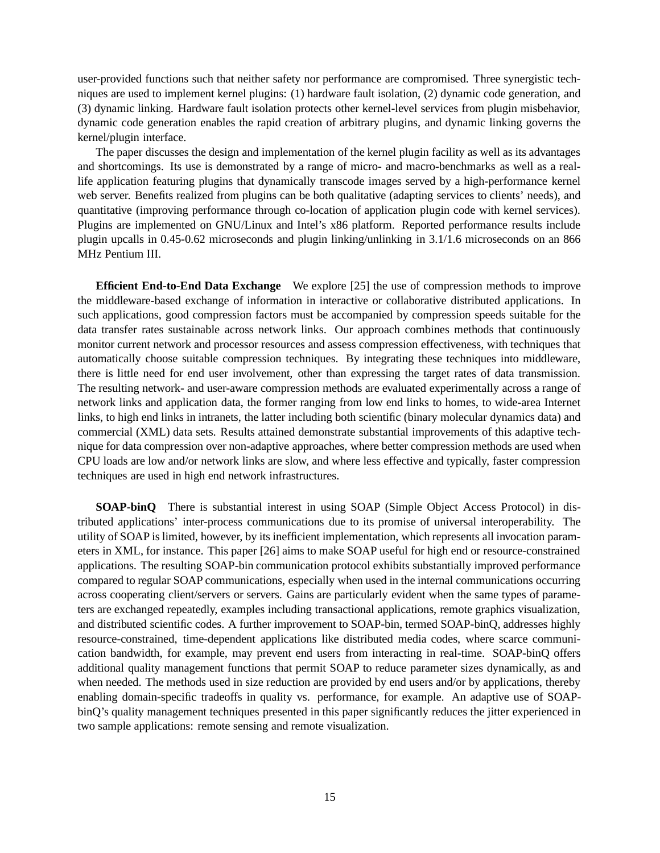user-provided functions such that neither safety nor performance are compromised. Three synergistic techniques are used to implement kernel plugins: (1) hardware fault isolation, (2) dynamic code generation, and (3) dynamic linking. Hardware fault isolation protects other kernel-level services from plugin misbehavior, dynamic code generation enables the rapid creation of arbitrary plugins, and dynamic linking governs the kernel/plugin interface.

The paper discusses the design and implementation of the kernel plugin facility as well as its advantages and shortcomings. Its use is demonstrated by a range of micro- and macro-benchmarks as well as a reallife application featuring plugins that dynamically transcode images served by a high-performance kernel web server. Benefits realized from plugins can be both qualitative (adapting services to clients' needs), and quantitative (improving performance through co-location of application plugin code with kernel services). Plugins are implemented on GNU/Linux and Intel's x86 platform. Reported performance results include plugin upcalls in 0.45-0.62 microseconds and plugin linking/unlinking in 3.1/1.6 microseconds on an 866 MHz Pentium III.

**Efficient End-to-End Data Exchange** We explore [25] the use of compression methods to improve the middleware-based exchange of information in interactive or collaborative distributed applications. In such applications, good compression factors must be accompanied by compression speeds suitable for the data transfer rates sustainable across network links. Our approach combines methods that continuously monitor current network and processor resources and assess compression effectiveness, with techniques that automatically choose suitable compression techniques. By integrating these techniques into middleware, there is little need for end user involvement, other than expressing the target rates of data transmission. The resulting network- and user-aware compression methods are evaluated experimentally across a range of network links and application data, the former ranging from low end links to homes, to wide-area Internet links, to high end links in intranets, the latter including both scientific (binary molecular dynamics data) and commercial (XML) data sets. Results attained demonstrate substantial improvements of this adaptive technique for data compression over non-adaptive approaches, where better compression methods are used when CPU loads are low and/or network links are slow, and where less effective and typically, faster compression techniques are used in high end network infrastructures.

**SOAP-binQ** There is substantial interest in using SOAP (Simple Object Access Protocol) in distributed applications' inter-process communications due to its promise of universal interoperability. The utility of SOAP is limited, however, by its inefficient implementation, which represents all invocation parameters in XML, for instance. This paper [26] aims to make SOAP useful for high end or resource-constrained applications. The resulting SOAP-bin communication protocol exhibits substantially improved performance compared to regular SOAP communications, especially when used in the internal communications occurring across cooperating client/servers or servers. Gains are particularly evident when the same types of parameters are exchanged repeatedly, examples including transactional applications, remote graphics visualization, and distributed scientific codes. A further improvement to SOAP-bin, termed SOAP-binQ, addresses highly resource-constrained, time-dependent applications like distributed media codes, where scarce communication bandwidth, for example, may prevent end users from interacting in real-time. SOAP-binQ offers additional quality management functions that permit SOAP to reduce parameter sizes dynamically, as and when needed. The methods used in size reduction are provided by end users and/or by applications, thereby enabling domain-specific tradeoffs in quality vs. performance, for example. An adaptive use of SOAPbinQ's quality management techniques presented in this paper significantly reduces the jitter experienced in two sample applications: remote sensing and remote visualization.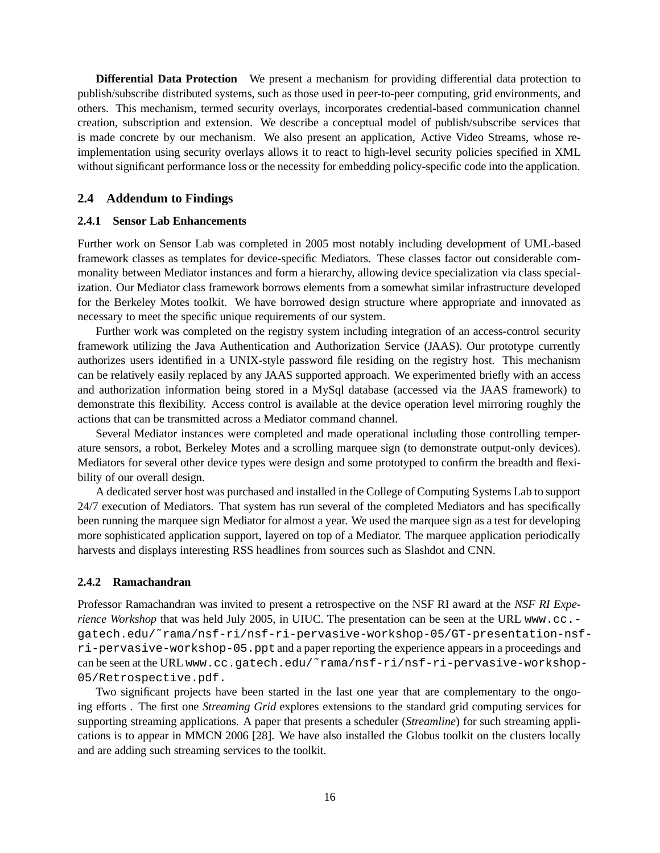**Differential Data Protection** We present a mechanism for providing differential data protection to publish/subscribe distributed systems, such as those used in peer-to-peer computing, grid environments, and others. This mechanism, termed security overlays, incorporates credential-based communication channel creation, subscription and extension. We describe a conceptual model of publish/subscribe services that is made concrete by our mechanism. We also present an application, Active Video Streams, whose reimplementation using security overlays allows it to react to high-level security policies specified in XML without significant performance loss or the necessity for embedding policy-specific code into the application.

### **2.4 Addendum to Findings**

#### **2.4.1 Sensor Lab Enhancements**

Further work on Sensor Lab was completed in 2005 most notably including development of UML-based framework classes as templates for device-specific Mediators. These classes factor out considerable commonality between Mediator instances and form a hierarchy, allowing device specialization via class specialization. Our Mediator class framework borrows elements from a somewhat similar infrastructure developed for the Berkeley Motes toolkit. We have borrowed design structure where appropriate and innovated as necessary to meet the specific unique requirements of our system.

Further work was completed on the registry system including integration of an access-control security framework utilizing the Java Authentication and Authorization Service (JAAS). Our prototype currently authorizes users identified in a UNIX-style password file residing on the registry host. This mechanism can be relatively easily replaced by any JAAS supported approach. We experimented briefly with an access and authorization information being stored in a MySql database (accessed via the JAAS framework) to demonstrate this flexibility. Access control is available at the device operation level mirroring roughly the actions that can be transmitted across a Mediator command channel.

Several Mediator instances were completed and made operational including those controlling temperature sensors, a robot, Berkeley Motes and a scrolling marquee sign (to demonstrate output-only devices). Mediators for several other device types were design and some prototyped to confirm the breadth and flexibility of our overall design.

A dedicated server host was purchased and installed in the College of Computing Systems Lab to support 24/7 execution of Mediators. That system has run several of the completed Mediators and has specifically been running the marquee sign Mediator for almost a year. We used the marquee sign as a test for developing more sophisticated application support, layered on top of a Mediator. The marquee application periodically harvests and displays interesting RSS headlines from sources such as Slashdot and CNN.

#### **2.4.2 Ramachandran**

Professor Ramachandran was invited to present a retrospective on the NSF RI award at the *NSF RI Experience Workshop* that was held July 2005, in UIUC. The presentation can be seen at the URL www.cc.gatech.edu/˜rama/nsf-ri/nsf-ri-pervasive-workshop-05/GT-presentation-nsfri-pervasive-workshop-05.pptand a paper reporting the experience appears in a proceedings and can be seen at the URL www.cc.gatech.edu/~rama/nsf-ri/nsf-ri-pervasive-workshop-05/Retrospective.pdf.

Two significant projects have been started in the last one year that are complementary to the ongoing efforts . The first one *Streaming Grid* explores extensions to the standard grid computing services for supporting streaming applications. A paper that presents a scheduler (*Streamline*) for such streaming applications is to appear in MMCN 2006 [28]. We have also installed the Globus toolkit on the clusters locally and are adding such streaming services to the toolkit.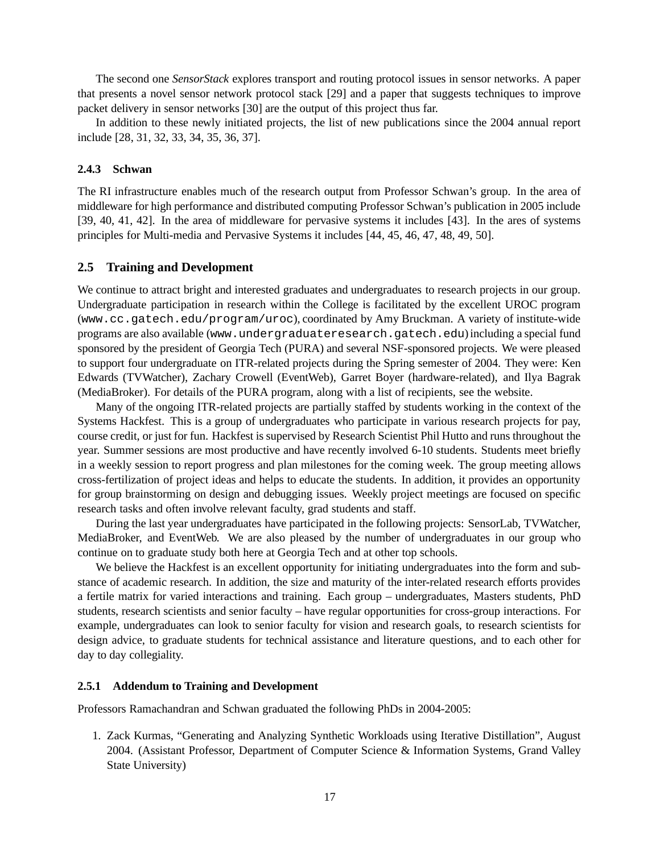The second one *SensorStack* explores transport and routing protocol issues in sensor networks. A paper that presents a novel sensor network protocol stack [29] and a paper that suggests techniques to improve packet delivery in sensor networks [30] are the output of this project thus far.

In addition to these newly initiated projects, the list of new publications since the 2004 annual report include [28, 31, 32, 33, 34, 35, 36, 37].

#### **2.4.3 Schwan**

The RI infrastructure enables much of the research output from Professor Schwan's group. In the area of middleware for high performance and distributed computing Professor Schwan's publication in 2005 include [39, 40, 41, 42]. In the area of middleware for pervasive systems it includes [43]. In the ares of systems principles for Multi-media and Pervasive Systems it includes [44, 45, 46, 47, 48, 49, 50].

#### **2.5 Training and Development**

We continue to attract bright and interested graduates and undergraduates to research projects in our group. Undergraduate participation in research within the College is facilitated by the excellent UROC program (www.cc.gatech.edu/program/uroc), coordinated by Amy Bruckman. A variety of institute-wide programs are also available (www.undergraduateresearch.gatech.edu)including a special fund sponsored by the president of Georgia Tech (PURA) and several NSF-sponsored projects. We were pleased to support four undergraduate on ITR-related projects during the Spring semester of 2004. They were: Ken Edwards (TVWatcher), Zachary Crowell (EventWeb), Garret Boyer (hardware-related), and Ilya Bagrak (MediaBroker). For details of the PURA program, along with a list of recipients, see the website.

Many of the ongoing ITR-related projects are partially staffed by students working in the context of the Systems Hackfest. This is a group of undergraduates who participate in various research projects for pay, course credit, or just for fun. Hackfest is supervised by Research Scientist Phil Hutto and runs throughout the year. Summer sessions are most productive and have recently involved 6-10 students. Students meet briefly in a weekly session to report progress and plan milestones for the coming week. The group meeting allows cross-fertilization of project ideas and helps to educate the students. In addition, it provides an opportunity for group brainstorming on design and debugging issues. Weekly project meetings are focused on specific research tasks and often involve relevant faculty, grad students and staff.

During the last year undergraduates have participated in the following projects: SensorLab, TVWatcher, MediaBroker, and EventWeb. We are also pleased by the number of undergraduates in our group who continue on to graduate study both here at Georgia Tech and at other top schools.

We believe the Hackfest is an excellent opportunity for initiating undergraduates into the form and substance of academic research. In addition, the size and maturity of the inter-related research efforts provides a fertile matrix for varied interactions and training. Each group – undergraduates, Masters students, PhD students, research scientists and senior faculty – have regular opportunities for cross-group interactions. For example, undergraduates can look to senior faculty for vision and research goals, to research scientists for design advice, to graduate students for technical assistance and literature questions, and to each other for day to day collegiality.

#### **2.5.1 Addendum to Training and Development**

Professors Ramachandran and Schwan graduated the following PhDs in 2004-2005:

1. Zack Kurmas, "Generating and Analyzing Synthetic Workloads using Iterative Distillation", August 2004. (Assistant Professor, Department of Computer Science & Information Systems, Grand Valley State University)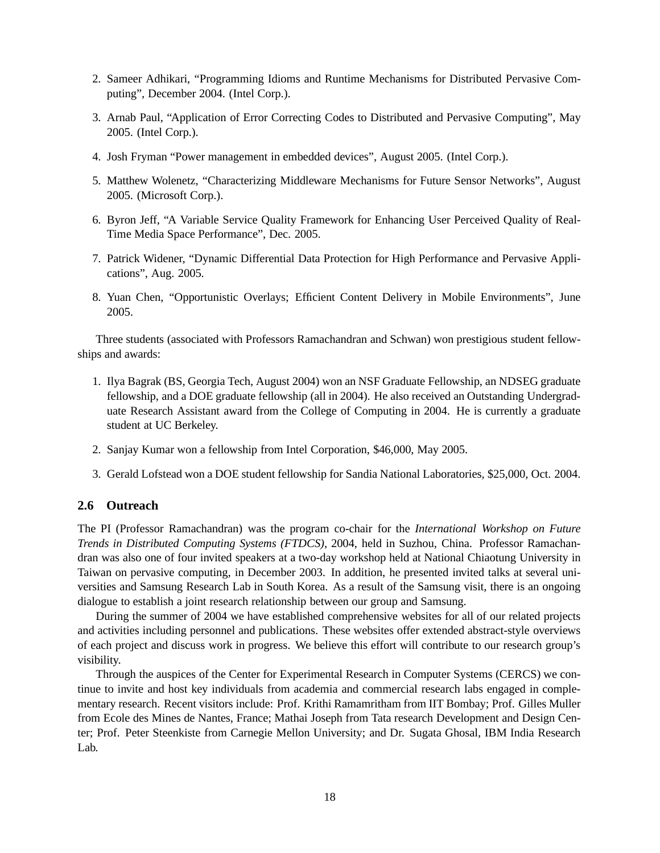- 2. Sameer Adhikari, "Programming Idioms and Runtime Mechanisms for Distributed Pervasive Computing", December 2004. (Intel Corp.).
- 3. Arnab Paul, "Application of Error Correcting Codes to Distributed and Pervasive Computing", May 2005. (Intel Corp.).
- 4. Josh Fryman "Power management in embedded devices", August 2005. (Intel Corp.).
- 5. Matthew Wolenetz, "Characterizing Middleware Mechanisms for Future Sensor Networks", August 2005. (Microsoft Corp.).
- 6. Byron Jeff, "A Variable Service Quality Framework for Enhancing User Perceived Quality of Real-Time Media Space Performance", Dec. 2005.
- 7. Patrick Widener, "Dynamic Differential Data Protection for High Performance and Pervasive Applications", Aug. 2005.
- 8. Yuan Chen, "Opportunistic Overlays; Efficient Content Delivery in Mobile Environments", June 2005.

Three students (associated with Professors Ramachandran and Schwan) won prestigious student fellowships and awards:

- 1. Ilya Bagrak (BS, Georgia Tech, August 2004) won an NSF Graduate Fellowship, an NDSEG graduate fellowship, and a DOE graduate fellowship (all in 2004). He also received an Outstanding Undergraduate Research Assistant award from the College of Computing in 2004. He is currently a graduate student at UC Berkeley.
- 2. Sanjay Kumar won a fellowship from Intel Corporation, \$46,000, May 2005.
- 3. Gerald Lofstead won a DOE student fellowship for Sandia National Laboratories, \$25,000, Oct. 2004.

# **2.6 Outreach**

The PI (Professor Ramachandran) was the program co-chair for the *International Workshop on Future Trends in Distributed Computing Systems (FTDCS)*, 2004, held in Suzhou, China. Professor Ramachandran was also one of four invited speakers at a two-day workshop held at National Chiaotung University in Taiwan on pervasive computing, in December 2003. In addition, he presented invited talks at several universities and Samsung Research Lab in South Korea. As a result of the Samsung visit, there is an ongoing dialogue to establish a joint research relationship between our group and Samsung.

During the summer of 2004 we have established comprehensive websites for all of our related projects and activities including personnel and publications. These websites offer extended abstract-style overviews of each project and discuss work in progress. We believe this effort will contribute to our research group's visibility.

Through the auspices of the Center for Experimental Research in Computer Systems (CERCS) we continue to invite and host key individuals from academia and commercial research labs engaged in complementary research. Recent visitors include: Prof. Krithi Ramamritham from IIT Bombay; Prof. Gilles Muller from Ecole des Mines de Nantes, France; Mathai Joseph from Tata research Development and Design Center; Prof. Peter Steenkiste from Carnegie Mellon University; and Dr. Sugata Ghosal, IBM India Research Lab.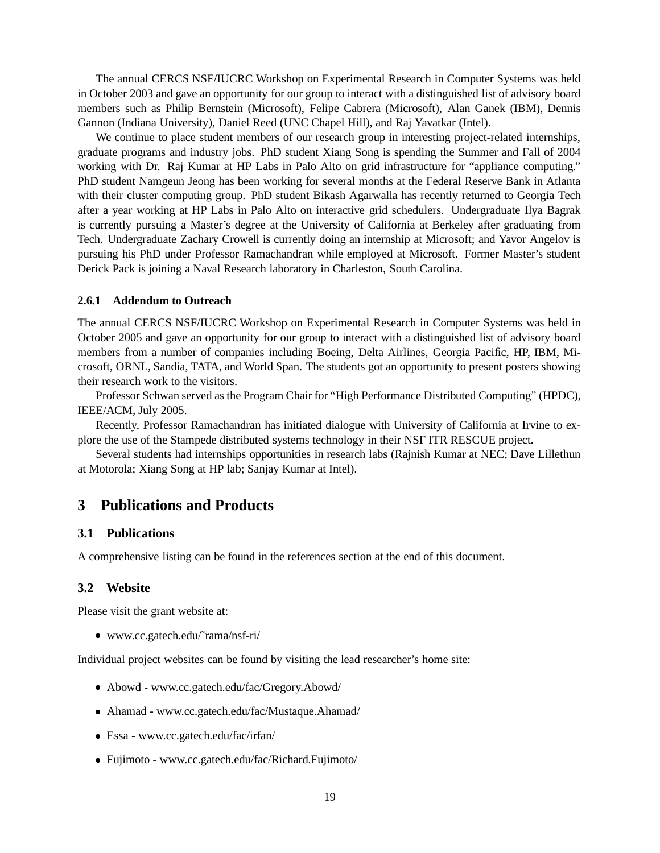The annual CERCS NSF/IUCRC Workshop on Experimental Research in Computer Systems was held in October 2003 and gave an opportunity for our group to interact with a distinguished list of advisory board members such as Philip Bernstein (Microsoft), Felipe Cabrera (Microsoft), Alan Ganek (IBM), Dennis Gannon (Indiana University), Daniel Reed (UNC Chapel Hill), and Raj Yavatkar (Intel).

We continue to place student members of our research group in interesting project-related internships, graduate programs and industry jobs. PhD student Xiang Song is spending the Summer and Fall of 2004 working with Dr. Raj Kumar at HP Labs in Palo Alto on grid infrastructure for "appliance computing." PhD student Namgeun Jeong has been working for several months at the Federal Reserve Bank in Atlanta with their cluster computing group. PhD student Bikash Agarwalla has recently returned to Georgia Tech after a year working at HP Labs in Palo Alto on interactive grid schedulers. Undergraduate Ilya Bagrak is currently pursuing a Master's degree at the University of California at Berkeley after graduating from Tech. Undergraduate Zachary Crowell is currently doing an internship at Microsoft; and Yavor Angelov is pursuing his PhD under Professor Ramachandran while employed at Microsoft. Former Master's student Derick Pack is joining a Naval Research laboratory in Charleston, South Carolina.

#### **2.6.1 Addendum to Outreach**

The annual CERCS NSF/IUCRC Workshop on Experimental Research in Computer Systems was held in October 2005 and gave an opportunity for our group to interact with a distinguished list of advisory board members from a number of companies including Boeing, Delta Airlines, Georgia Pacific, HP, IBM, Microsoft, ORNL, Sandia, TATA, and World Span. The students got an opportunity to present posters showing their research work to the visitors.

Professor Schwan served as the Program Chair for "High Performance Distributed Computing" (HPDC), IEEE/ACM, July 2005.

Recently, Professor Ramachandran has initiated dialogue with University of California at Irvine to explore the use of the Stampede distributed systems technology in their NSF ITR RESCUE project.

Several students had internships opportunities in research labs (Rajnish Kumar at NEC; Dave Lillethun at Motorola; Xiang Song at HP lab; Sanjay Kumar at Intel).

# **3 Publications and Products**

### **3.1 Publications**

A comprehensive listing can be found in the references section at the end of this document.

### **3.2 Website**

Please visit the grant website at:

www.cc.gatech.edu/˜rama/nsf-ri/

Individual project websites can be found by visiting the lead researcher's home site:

- Abowd www.cc.gatech.edu/fac/Gregory.Abowd/
- Ahamad www.cc.gatech.edu/fac/Mustaque.Ahamad/
- Essa www.cc.gatech.edu/fac/irfan/
- Fujimoto www.cc.gatech.edu/fac/Richard.Fujimoto/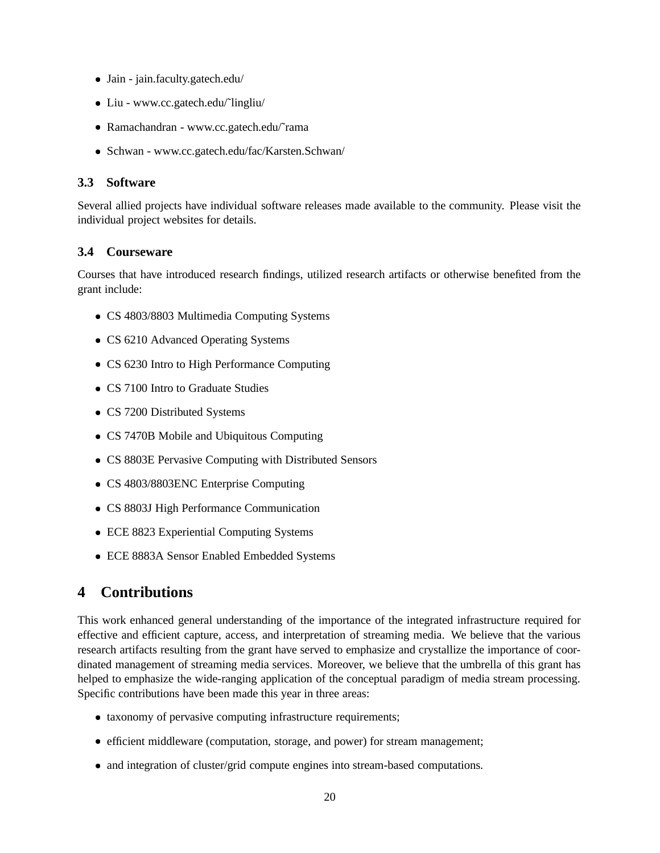- Jain jain.faculty.gatech.edu/
- Liu www.cc.gatech.edu/˜lingliu/
- Ramachandran www.cc.gatech.edu/˜rama
- Schwan www.cc.gatech.edu/fac/Karsten.Schwan/

# **3.3 Software**

Several allied projects have individual software releases made available to the community. Please visit the individual project websites for details.

# **3.4 Courseware**

Courses that have introduced research findings, utilized research artifacts or otherwise benefited from the grant include:

- CS 4803/8803 Multimedia Computing Systems
- CS 6210 Advanced Operating Systems
- CS 6230 Intro to High Performance Computing
- CS 7100 Intro to Graduate Studies
- CS 7200 Distributed Systems
- CS 7470B Mobile and Ubiquitous Computing
- CS 8803E Pervasive Computing with Distributed Sensors
- CS 4803/8803ENC Enterprise Computing
- CS 8803J High Performance Communication
- ECE 8823 Experiential Computing Systems
- ECE 8883A Sensor Enabled Embedded Systems

# **4 Contributions**

This work enhanced general understanding of the importance of the integrated infrastructure required for effective and efficient capture, access, and interpretation of streaming media. We believe that the various research artifacts resulting from the grant have served to emphasize and crystallize the importance of coordinated management of streaming media services. Moreover, we believe that the umbrella of this grant has helped to emphasize the wide-ranging application of the conceptual paradigm of media stream processing. Specific contributions have been made this year in three areas:

- taxonomy of pervasive computing infrastructure requirements;
- efficient middleware (computation, storage, and power) for stream management;
- and integration of cluster/grid compute engines into stream-based computations.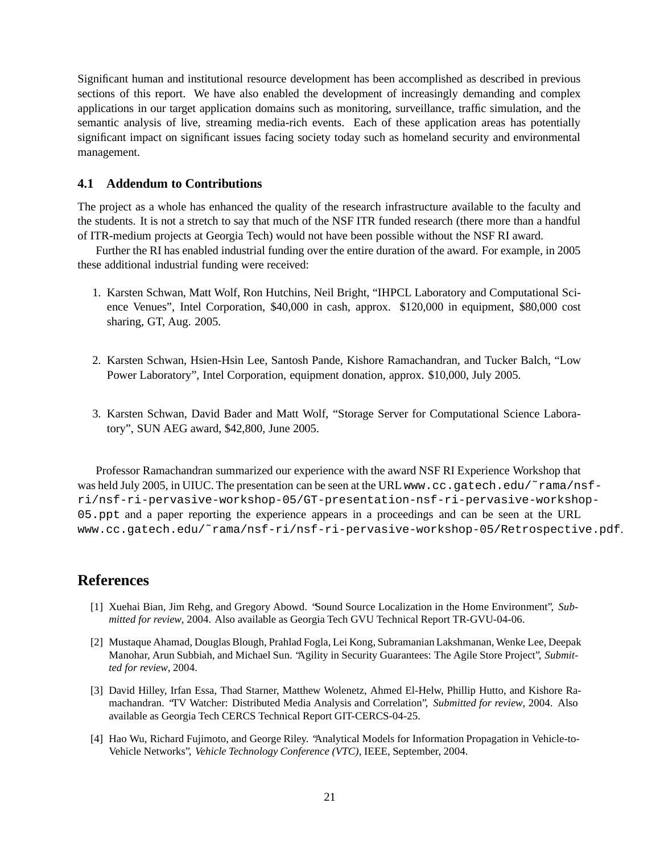Significant human and institutional resource development has been accomplished as described in previous sections of this report. We have also enabled the development of increasingly demanding and complex applications in our target application domains such as monitoring, surveillance, traffic simulation, and the semantic analysis of live, streaming media-rich events. Each of these application areas has potentially significant impact on significant issues facing society today such as homeland security and environmental management.

### **4.1 Addendum to Contributions**

The project as a whole has enhanced the quality of the research infrastructure available to the faculty and the students. It is not a stretch to say that much of the NSF ITR funded research (there more than a handful of ITR-medium projects at Georgia Tech) would not have been possible without the NSF RI award.

Further the RI has enabled industrial funding over the entire duration of the award. For example, in 2005 these additional industrial funding were received:

- 1. Karsten Schwan, Matt Wolf, Ron Hutchins, Neil Bright, "IHPCL Laboratory and Computational Science Venues", Intel Corporation, \$40,000 in cash, approx. \$120,000 in equipment, \$80,000 cost sharing, GT, Aug. 2005.
- 2. Karsten Schwan, Hsien-Hsin Lee, Santosh Pande, Kishore Ramachandran, and Tucker Balch, "Low Power Laboratory", Intel Corporation, equipment donation, approx. \$10,000, July 2005.
- 3. Karsten Schwan, David Bader and Matt Wolf, "Storage Server for Computational Science Laboratory", SUN AEG award, \$42,800, June 2005.

Professor Ramachandran summarized our experience with the award NSF RI Experience Workshop that was held July 2005, in UIUC. The presentation can be seen at the URL www.cc.gatech.edu/~rama/nsfri/nsf-ri-pervasive-workshop-05/GT-presentation-nsf-ri-pervasive-workshop-05.ppt and a paper reporting the experience appears in a proceedings and can be seen at the URL www.cc.gatech.edu/˜rama/nsf-ri/nsf-ri-pervasive-workshop-05/Retrospective.pdf.

# **References**

- [1] Xuehai Bian, Jim Rehg, and Gregory Abowd. "Sound Source Localization in the Home Environment", *Submitted for review*, 2004. Also available as Georgia Tech GVU Technical Report TR-GVU-04-06.
- [2] Mustaque Ahamad, Douglas Blough, Prahlad Fogla, Lei Kong, Subramanian Lakshmanan, Wenke Lee, Deepak Manohar, Arun Subbiah, and Michael Sun. "Agility in Security Guarantees: The Agile Store Project", *Submitted for review*, 2004.
- [3] David Hilley, Irfan Essa, Thad Starner, Matthew Wolenetz, Ahmed El-Helw, Phillip Hutto, and Kishore Ramachandran. "TV Watcher: Distributed Media Analysis and Correlation", *Submitted for review*, 2004. Also available as Georgia Tech CERCS Technical Report GIT-CERCS-04-25.
- [4] Hao Wu, Richard Fujimoto, and George Riley. "Analytical Models for Information Propagation in Vehicle-to-Vehicle Networks", *Vehicle Technology Conference (VTC)*, IEEE, September, 2004.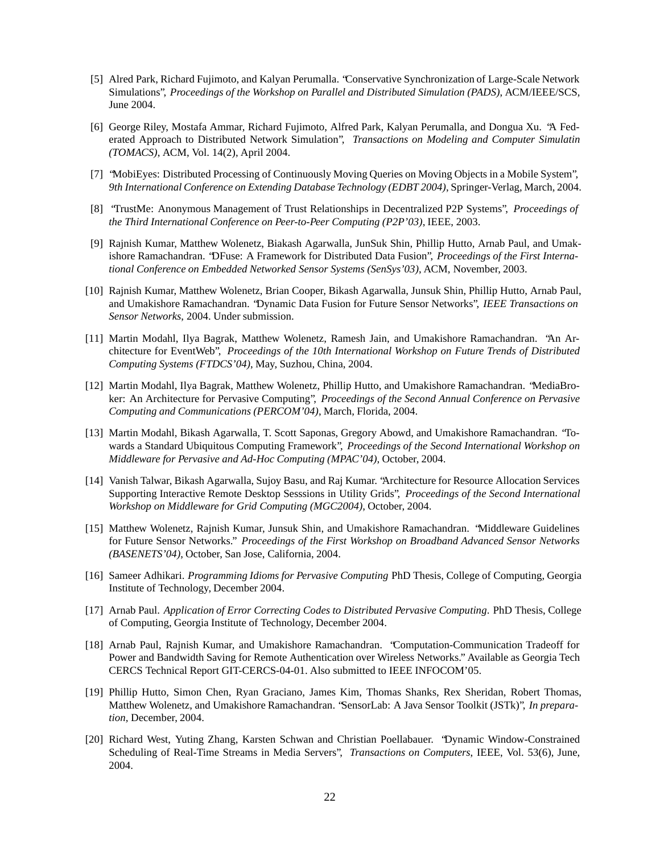- [5] Alred Park, Richard Fujimoto, and Kalyan Perumalla. "Conservative Synchronization of Large-Scale Network Simulations", *Proceedings of the Workshop on Parallel and Distributed Simulation (PADS)*, ACM/IEEE/SCS, June 2004.
- [6] George Riley, Mostafa Ammar, Richard Fujimoto, Alfred Park, Kalyan Perumalla, and Dongua Xu. "A Federated Approach to Distributed Network Simulation", *Transactions on Modeling and Computer Simulatin (TOMACS)*, ACM, Vol. 14(2), April 2004.
- [7] "MobiEyes: Distributed Processing of Continuously Moving Queries on Moving Objects in a Mobile System", *9th International Conference on Extending Database Technology (EDBT 2004)*, Springer-Verlag, March, 2004.
- [8] "TrustMe: Anonymous Management of Trust Relationships in Decentralized P2P Systems", *Proceedings of the Third International Conference on Peer-to-Peer Computing (P2P'03)*, IEEE, 2003.
- [9] Rajnish Kumar, Matthew Wolenetz, Biakash Agarwalla, JunSuk Shin, Phillip Hutto, Arnab Paul, and Umakishore Ramachandran. "DFuse: A Framework for Distributed Data Fusion", *Proceedings of the First International Conference on Embedded Networked Sensor Systems (SenSys'03)*, ACM, November, 2003.
- [10] Rajnish Kumar, Matthew Wolenetz, Brian Cooper, Bikash Agarwalla, Junsuk Shin, Phillip Hutto, Arnab Paul, and Umakishore Ramachandran. "Dynamic Data Fusion for Future Sensor Networks", *IEEE Transactions on Sensor Networks*, 2004. Under submission.
- [11] Martin Modahl, Ilya Bagrak, Matthew Wolenetz, Ramesh Jain, and Umakishore Ramachandran. "An Architecture for EventWeb", *Proceedings of the 10th International Workshop on Future Trends of Distributed Computing Systems (FTDCS'04)*, May, Suzhou, China, 2004.
- [12] Martin Modahl, Ilya Bagrak, Matthew Wolenetz, Phillip Hutto, and Umakishore Ramachandran. "MediaBroker: An Architecture for Pervasive Computing", *Proceedings of the Second Annual Conference on Pervasive Computing and Communications (PERCOM'04)*, March, Florida, 2004.
- [13] Martin Modahl, Bikash Agarwalla, T. Scott Saponas, Gregory Abowd, and Umakishore Ramachandran. "Towards a Standard Ubiquitous Computing Framework", *Proceedings of the Second International Workshop on Middleware for Pervasive and Ad-Hoc Computing (MPAC'04)*, October, 2004.
- [14] Vanish Talwar, Bikash Agarwalla, Sujoy Basu, and Raj Kumar. "Architecture for Resource Allocation Services Supporting Interactive Remote Desktop Sesssions in Utility Grids", *Proceedings of the Second International Workshop on Middleware for Grid Computing (MGC2004)*, October, 2004.
- [15] Matthew Wolenetz, Rajnish Kumar, Junsuk Shin, and Umakishore Ramachandran. "Middleware Guidelines for Future Sensor Networks." *Proceedings of the First Workshop on Broadband Advanced Sensor Networks (BASENETS'04)*, October, San Jose, California, 2004.
- [16] Sameer Adhikari. *Programming Idioms for Pervasive Computing* PhD Thesis, College of Computing, Georgia Institute of Technology, December 2004.
- [17] Arnab Paul. *Application of Error Correcting Codes to Distributed Pervasive Computing*. PhD Thesis, College of Computing, Georgia Institute of Technology, December 2004.
- [18] Arnab Paul, Rajnish Kumar, and Umakishore Ramachandran. "Computation-Communication Tradeoff for Power and Bandwidth Saving for Remote Authentication over Wireless Networks." Available as Georgia Tech CERCS Technical Report GIT-CERCS-04-01. Also submitted to IEEE INFOCOM'05.
- [19] Phillip Hutto, Simon Chen, Ryan Graciano, James Kim, Thomas Shanks, Rex Sheridan, Robert Thomas, Matthew Wolenetz, and Umakishore Ramachandran. "SensorLab: A Java Sensor Toolkit (JSTk)", *In preparation,* December, 2004.
- [20] Richard West, Yuting Zhang, Karsten Schwan and Christian Poellabauer. "Dynamic Window-Constrained Scheduling of Real-Time Streams in Media Servers", *Transactions on Computers*, IEEE, Vol. 53(6), June, 2004.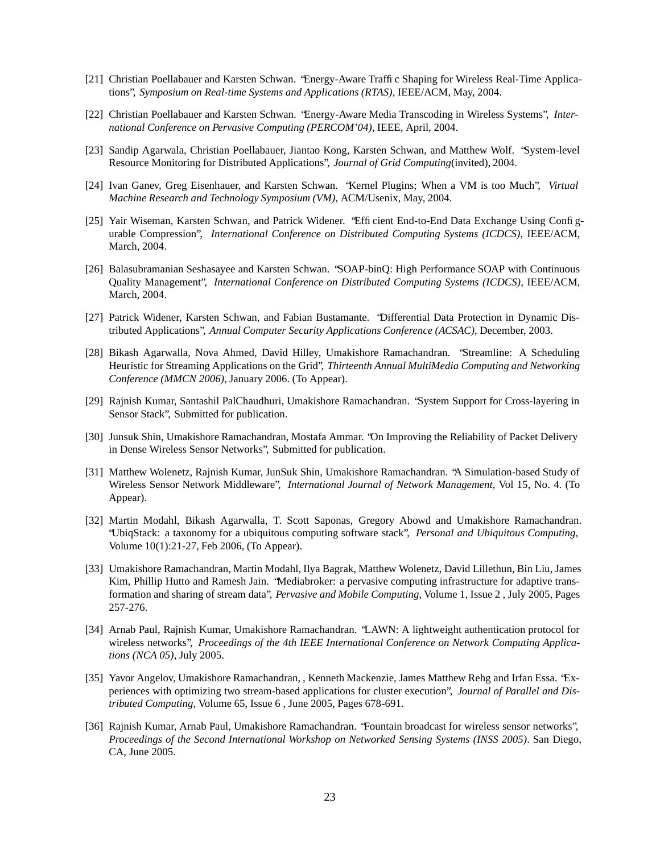- [21] Christian Poellabauer and Karsten Schwan. "Energy-Aware Traffic Shaping for Wireless Real-Time Applications", *Symposium on Real-time Systems and Applications (RTAS)*, IEEE/ACM, May, 2004.
- [22] Christian Poellabauer and Karsten Schwan. "Energy-Aware Media Transcoding in Wireless Systems", *International Conference on Pervasive Computing (PERCOM'04)*, IEEE, April, 2004.
- [23] Sandip Agarwala, Christian Poellabauer, Jiantao Kong, Karsten Schwan, and Matthew Wolf. "System-level Resource Monitoring for Distributed Applications", *Journal of Grid Computing*(invited), 2004.
- [24] Ivan Ganev, Greg Eisenhauer, and Karsten Schwan. "Kernel Plugins; When a VM is too Much", *Virtual Machine Research and Technology Symposium (VM)*, ACM/Usenix, May, 2004.
- [25] Yair Wiseman, Karsten Schwan, and Patrick Widener. 'Efficient End-to-End Data Exchange Using Configurable Compression", *International Conference on Distributed Computing Systems (ICDCS)*, IEEE/ACM, March, 2004.
- [26] Balasubramanian Seshasayee and Karsten Schwan. "SOAP-binQ: High Performance SOAP with Continuous Quality Management", *International Conference on Distributed Computing Systems (ICDCS)*, IEEE/ACM, March, 2004.
- [27] Patrick Widener, Karsten Schwan, and Fabian Bustamante. "Differential Data Protection in Dynamic Distributed Applications", *Annual Computer Security Applications Conference (ACSAC)*, December, 2003.
- [28] Bikash Agarwalla, Nova Ahmed, David Hilley, Umakishore Ramachandran. "Streamline: A Scheduling Heuristic for Streaming Applications on the Grid", *Thirteenth Annual MultiMedia Computing and Networking Conference (MMCN 2006)*, January 2006. (To Appear).
- [29] Rajnish Kumar, Santashil PalChaudhuri, Umakishore Ramachandran. "System Support for Cross-layering in Sensor Stack", Submitted for publication.
- [30] Junsuk Shin, Umakishore Ramachandran, Mostafa Ammar. "On Improving the Reliability of Packet Delivery in Dense Wireless Sensor Networks", Submitted for publication.
- [31] Matthew Wolenetz, Rajnish Kumar, JunSuk Shin, Umakishore Ramachandran. "A Simulation-based Study of Wireless Sensor Network Middleware", *International Journal of Network Management*, Vol 15, No. 4. (To Appear).
- [32] Martin Modahl, Bikash Agarwalla, T. Scott Saponas, Gregory Abowd and Umakishore Ramachandran. "UbiqStack: a taxonomy for a ubiquitous computing software stack", *Personal and Ubiquitous Computing*, Volume 10(1):21-27, Feb 2006, (To Appear).
- [33] Umakishore Ramachandran, Martin Modahl, Ilya Bagrak, Matthew Wolenetz, David Lillethun, Bin Liu, James Kim, Phillip Hutto and Ramesh Jain. "Mediabroker: a pervasive computing infrastructure for adaptive transformation and sharing of stream data", *Pervasive and Mobile Computing*, Volume 1, Issue 2 , July 2005, Pages 257-276.
- [34] Arnab Paul, Rajnish Kumar, Umakishore Ramachandran. "LAWN: A lightweight authentication protocol for wireless networks", *Proceedings of the 4th IEEE International Conference on Network Computing Applications (NCA 05)*, July 2005.
- [35] Yavor Angelov, Umakishore Ramachandran, , Kenneth Mackenzie, James Matthew Rehg and Irfan Essa. "Experiences with optimizing two stream-based applications for cluster execution", *Journal of Parallel and Distributed Computing*, Volume 65, Issue 6 , June 2005, Pages 678-691.
- [36] Rajnish Kumar, Arnab Paul, Umakishore Ramachandran. "Fountain broadcast for wireless sensor networks", *Proceedings of the Second International Workshop on Networked Sensing Systems (INSS 2005)*. San Diego, CA, June 2005.